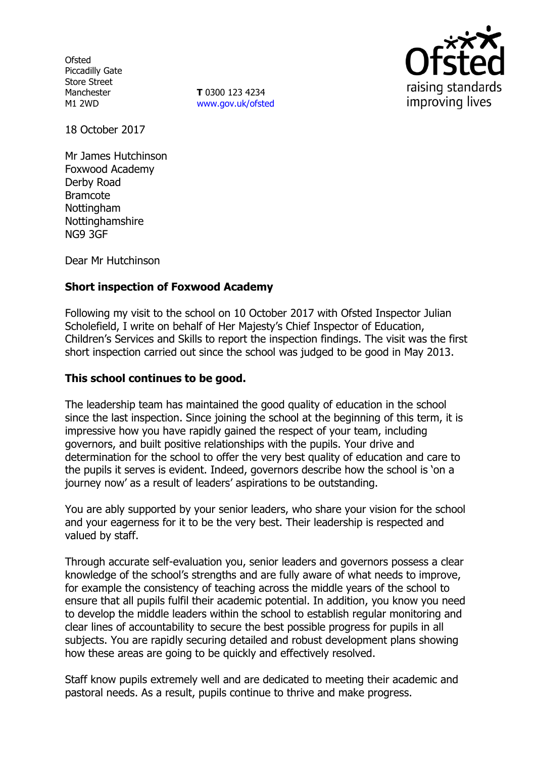**Ofsted** Piccadilly Gate Store Street Manchester M1 2WD

**T** 0300 123 4234 www.gov.uk/ofsted



18 October 2017

Mr James Hutchinson Foxwood Academy Derby Road Bramcote Nottingham Nottinghamshire NG9 3GF

Dear Mr Hutchinson

# **Short inspection of Foxwood Academy**

Following my visit to the school on 10 October 2017 with Ofsted Inspector Julian Scholefield, I write on behalf of Her Majesty's Chief Inspector of Education, Children's Services and Skills to report the inspection findings. The visit was the first short inspection carried out since the school was judged to be good in May 2013.

### **This school continues to be good.**

The leadership team has maintained the good quality of education in the school since the last inspection. Since joining the school at the beginning of this term, it is impressive how you have rapidly gained the respect of your team, including governors, and built positive relationships with the pupils. Your drive and determination for the school to offer the very best quality of education and care to the pupils it serves is evident. Indeed, governors describe how the school is 'on a journey now' as a result of leaders' aspirations to be outstanding.

You are ably supported by your senior leaders, who share your vision for the school and your eagerness for it to be the very best. Their leadership is respected and valued by staff.

Through accurate self-evaluation you, senior leaders and governors possess a clear knowledge of the school's strengths and are fully aware of what needs to improve, for example the consistency of teaching across the middle years of the school to ensure that all pupils fulfil their academic potential. In addition, you know you need to develop the middle leaders within the school to establish regular monitoring and clear lines of accountability to secure the best possible progress for pupils in all subjects. You are rapidly securing detailed and robust development plans showing how these areas are going to be quickly and effectively resolved.

Staff know pupils extremely well and are dedicated to meeting their academic and pastoral needs. As a result, pupils continue to thrive and make progress.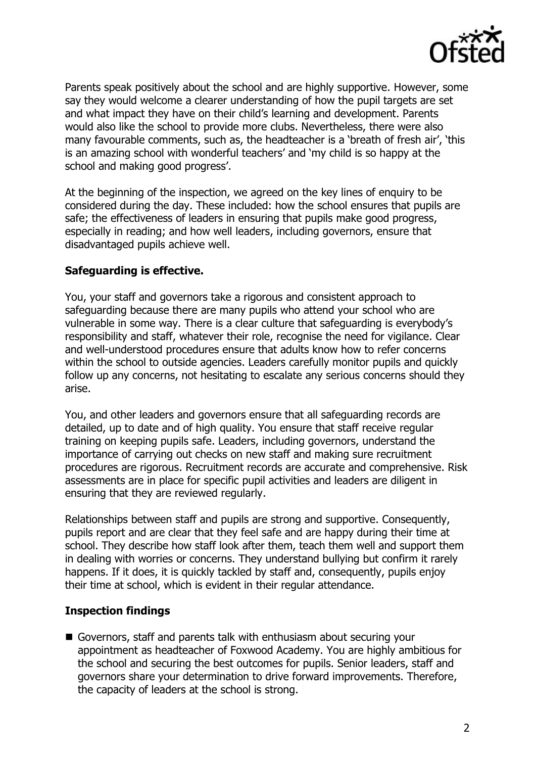

Parents speak positively about the school and are highly supportive. However, some say they would welcome a clearer understanding of how the pupil targets are set and what impact they have on their child's learning and development. Parents would also like the school to provide more clubs. Nevertheless, there were also many favourable comments, such as, the headteacher is a 'breath of fresh air', 'this is an amazing school with wonderful teachers' and 'my child is so happy at the school and making good progress'.

At the beginning of the inspection, we agreed on the key lines of enquiry to be considered during the day. These included: how the school ensures that pupils are safe; the effectiveness of leaders in ensuring that pupils make good progress, especially in reading; and how well leaders, including governors, ensure that disadvantaged pupils achieve well.

# **Safeguarding is effective.**

You, your staff and governors take a rigorous and consistent approach to safeguarding because there are many pupils who attend your school who are vulnerable in some way. There is a clear culture that safeguarding is everybody's responsibility and staff, whatever their role, recognise the need for vigilance. Clear and well-understood procedures ensure that adults know how to refer concerns within the school to outside agencies. Leaders carefully monitor pupils and quickly follow up any concerns, not hesitating to escalate any serious concerns should they arise.

You, and other leaders and governors ensure that all safeguarding records are detailed, up to date and of high quality. You ensure that staff receive regular training on keeping pupils safe. Leaders, including governors, understand the importance of carrying out checks on new staff and making sure recruitment procedures are rigorous. Recruitment records are accurate and comprehensive. Risk assessments are in place for specific pupil activities and leaders are diligent in ensuring that they are reviewed regularly.

Relationships between staff and pupils are strong and supportive. Consequently, pupils report and are clear that they feel safe and are happy during their time at school. They describe how staff look after them, teach them well and support them in dealing with worries or concerns. They understand bullying but confirm it rarely happens. If it does, it is quickly tackled by staff and, consequently, pupils enjoy their time at school, which is evident in their regular attendance.

## **Inspection findings**

Governors, staff and parents talk with enthusiasm about securing your appointment as headteacher of Foxwood Academy. You are highly ambitious for the school and securing the best outcomes for pupils. Senior leaders, staff and governors share your determination to drive forward improvements. Therefore, the capacity of leaders at the school is strong.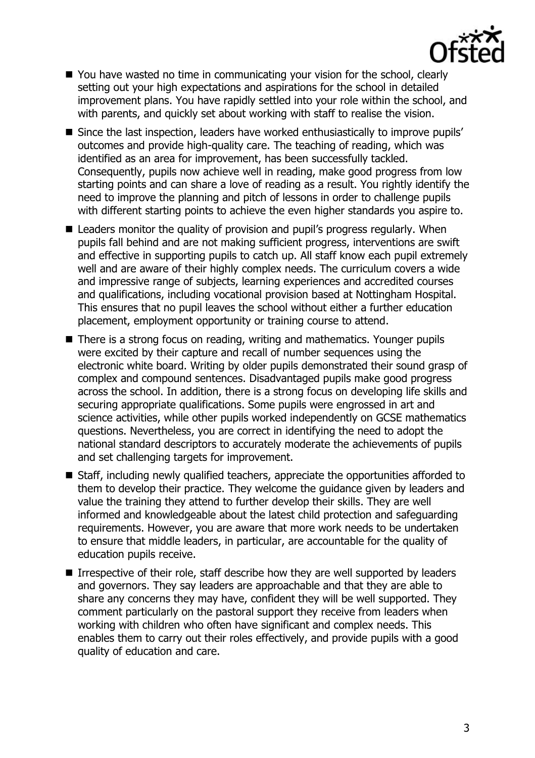

- You have wasted no time in communicating your vision for the school, clearly setting out your high expectations and aspirations for the school in detailed improvement plans. You have rapidly settled into your role within the school, and with parents, and quickly set about working with staff to realise the vision.
- Since the last inspection, leaders have worked enthusiastically to improve pupils' outcomes and provide high-quality care. The teaching of reading, which was identified as an area for improvement, has been successfully tackled. Consequently, pupils now achieve well in reading, make good progress from low starting points and can share a love of reading as a result. You rightly identify the need to improve the planning and pitch of lessons in order to challenge pupils with different starting points to achieve the even higher standards you aspire to.
- Leaders monitor the quality of provision and pupil's progress regularly. When pupils fall behind and are not making sufficient progress, interventions are swift and effective in supporting pupils to catch up. All staff know each pupil extremely well and are aware of their highly complex needs. The curriculum covers a wide and impressive range of subjects, learning experiences and accredited courses and qualifications, including vocational provision based at Nottingham Hospital. This ensures that no pupil leaves the school without either a further education placement, employment opportunity or training course to attend.
- There is a strong focus on reading, writing and mathematics. Younger pupils were excited by their capture and recall of number sequences using the electronic white board. Writing by older pupils demonstrated their sound grasp of complex and compound sentences. Disadvantaged pupils make good progress across the school. In addition, there is a strong focus on developing life skills and securing appropriate qualifications. Some pupils were engrossed in art and science activities, while other pupils worked independently on GCSE mathematics questions. Nevertheless, you are correct in identifying the need to adopt the national standard descriptors to accurately moderate the achievements of pupils and set challenging targets for improvement.
- Staff, including newly qualified teachers, appreciate the opportunities afforded to them to develop their practice. They welcome the guidance given by leaders and value the training they attend to further develop their skills. They are well informed and knowledgeable about the latest child protection and safeguarding requirements. However, you are aware that more work needs to be undertaken to ensure that middle leaders, in particular, are accountable for the quality of education pupils receive.
- $\blacksquare$  Irrespective of their role, staff describe how they are well supported by leaders and governors. They say leaders are approachable and that they are able to share any concerns they may have, confident they will be well supported. They comment particularly on the pastoral support they receive from leaders when working with children who often have significant and complex needs. This enables them to carry out their roles effectively, and provide pupils with a good quality of education and care.